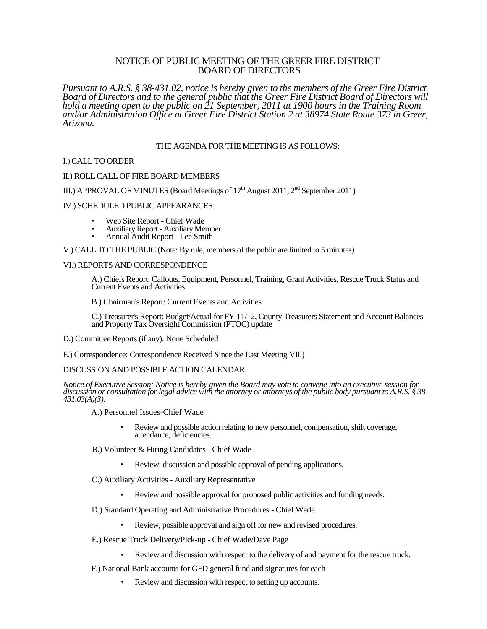# NOTICE OF PUBLIC MEETING OF THE GREER FIRE DISTRICT BOARD OF DIRECTORS

*Pursuant to A.R.S. § 38-431.02, notice is hereby given to the members of the Greer Fire District Board of Directors and to the general public that the Greer Fire District Board of Directors will hold a meeting open to the public on 21 September, 2011 at 1900 hours in the Training Room and/or Administration Office at Greer Fire District Station 2 at 38974 State Route 373 in Greer, Arizona.*

### THE AGENDA FOR THE MEETING IS AS FOLLOWS:

## I.) CALL TO ORDER

#### II.) ROLL CALL OF FIRE BOARD MEMBERS

III.) APPROVAL OF MINUTES (Board Meetings of  $17<sup>th</sup>$  August 2011,  $2<sup>nd</sup>$  September 2011)

#### IV.) SCHEDULED PUBLIC APPEARANCES:

- Web Site Report Chief Wade
- Auxiliary Report Auxiliary Member
- Annual Audit Report Lee Smith

V.) CALL TO THE PUBLIC (Note: By rule, members of the public are limited to 5 minutes)

#### VI.) REPORTS AND CORRESPONDENCE

A.) Chiefs Report: Callouts, Equipment, Personnel, Training, Grant Activities, Rescue Truck Status and Current Events and Activities

B.) Chairman's Report: Current Events and Activities

C.) Treasurer's Report: Budget/Actual for FY 11/12, County Treasurers Statement and Account Balances and Property Tax Oversight Commission (PTOC) update

- D.) Committee Reports (if any): None Scheduled
- E.) Correspondence: Correspondence Received Since the Last Meeting VII.)

## DISCUSSION AND POSSIBLE ACTION CALENDAR

*Notice of Executive Session: Notice is hereby given the Board may vote to convene into an executive session for discussion or consultation for legal advice with the attorney or attorneys of the public body pursuant to A.R.S. § 38- 431.03(A)(3).*

A.) Personnel Issues-Chief Wade

- Review and possible action relating to new personnel, compensation, shift coverage, attendance, deficiencies.
- B.) Volunteer & Hiring Candidates Chief Wade
	- Review, discussion and possible approval of pending applications.
- C.) Auxiliary Activities Auxiliary Representative
	- Review and possible approval for proposed public activities and funding needs.
- D.) Standard Operating and Administrative Procedures Chief Wade
	- Review, possible approval and sign off for new and revised procedures.
- E.) Rescue Truck Delivery/Pick-up Chief Wade/Dave Page
	- Review and discussion with respect to the delivery of and payment for the rescue truck.
- F.) National Bank accounts for GFD general fund and signatures for each
	- Review and discussion with respect to setting up accounts.